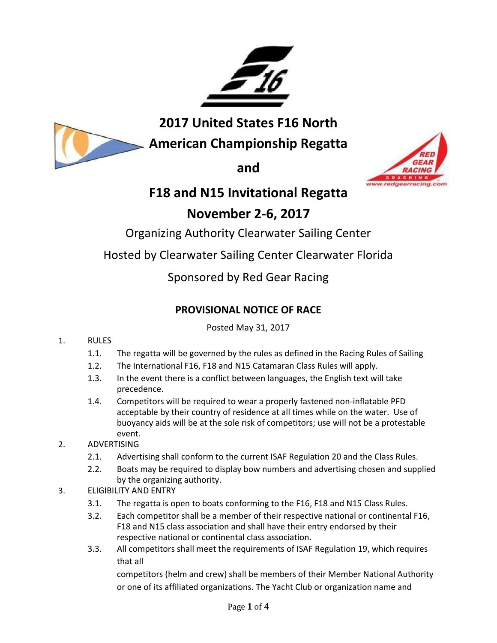

**2017 United States F16 North** 

**American Championship Regatta**

**and** 



# **F18 and N15 Invitational Regatta**

## **November 2-6, 2017**

Organizing Authority Clearwater Sailing Center

Hosted by Clearwater Sailing Center Clearwater Florida

## Sponsored by Red Gear Racing

## **PROVISIONAL NOTICE OF RACE**

Posted May 31, 2017

## 1. RULES

- 1.1. The regatta will be governed by the rules as defined in the Racing Rules of Sailing
- 1.2. The International F16, F18 and N15 Catamaran Class Rules will apply.
- 1.3. In the event there is a conflict between languages, the English text will take precedence.
- 1.4. Competitors will be required to wear a properly fastened non-inflatable PFD acceptable by their country of residence at all times while on the water. Use of buoyancy aids will be at the sole risk of competitors; use will not be a protestable event.
- 2. ADVERTISING
	- 2.1. Advertising shall conform to the current ISAF Regulation 20 and the Class Rules.
	- 2.2. Boats may be required to display bow numbers and advertising chosen and supplied by the organizing authority.
- 3. ELIGIBILITY AND ENTRY
	- 3.1. The regatta is open to boats conforming to the F16, F18 and N15 Class Rules.
	- 3.2. Each competitor shall be a member of their respective national or continental F16, F18 and N15 class association and shall have their entry endorsed by their respective national or continental class association.
	- 3.3. All competitors shall meet the requirements of ISAF Regulation 19, which requires that all

competitors (helm and crew) shall be members of their Member National Authority or one of its affiliated organizations. The Yacht Club or organization name and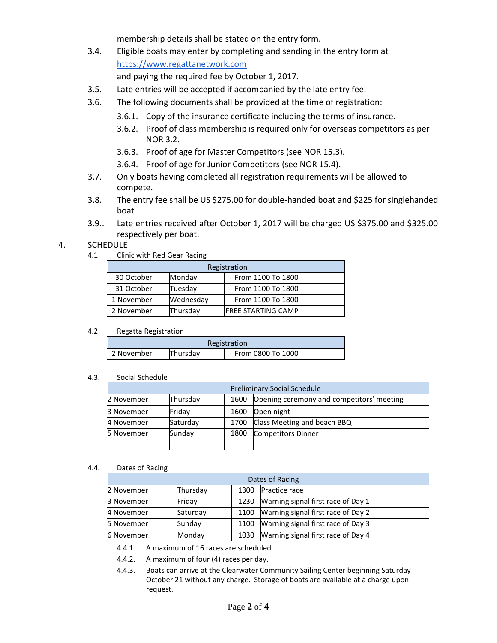membership details shall be stated on the entry form.

3.4. Eligible boats may enter by completing and sending in the entry form at [https://www.regattanetwork.com](https://www.regattanetwork.com/)

and paying the required fee by October 1, 2017.

- 3.5. Late entries will be accepted if accompanied by the late entry fee.
- 3.6. The following documents shall be provided at the time of registration:
	- 3.6.1. Copy of the insurance certificate including the terms of insurance.
	- 3.6.2. Proof of class membership is required only for overseas competitors as per NOR 3.2.
	- 3.6.3. Proof of age for Master Competitors (see NOR 15.3).
	- 3.6.4. Proof of age for Junior Competitors (see NOR 15.4).
- 3.7. Only boats having completed all registration requirements will be allowed to compete.
- 3.8. The entry fee shall be US \$275.00 for double-handed boat and \$225 for singlehanded boat
- 3.9.. Late entries received after October 1, 2017 will be charged US \$375.00 and \$325.00 respectively per boat.

#### 4. SCHEDULE

4.1 Clinic with Red Gear Racing

| Registration           |           |                     |  |  |
|------------------------|-----------|---------------------|--|--|
| 30 October             | Monday    | From 1100 To 1800   |  |  |
| 31 October             | Tuesday   | From 1100 To 1800   |  |  |
| 1 November             | Wednesday | From 1100 To 1800   |  |  |
| 2 November<br>Thursday |           | IFREE STARTING CAMP |  |  |

#### 4.2 Regatta Registration

| Registration |          |                   |  |  |
|--------------|----------|-------------------|--|--|
| 2 November   | Thursday | From 0800 To 1000 |  |  |

#### 4.3. Social Schedule

| <b>Preliminary Social Schedule</b> |          |      |                                           |  |
|------------------------------------|----------|------|-------------------------------------------|--|
| 2 November                         | Thursday | 1600 | Opening ceremony and competitors' meeting |  |
| 3 November                         | Fridav   | 1600 | Open night                                |  |
| 4 November                         | Saturday | 1700 | Class Meeting and beach BBQ               |  |
| 5 November                         | Sunday   | 1800 | Competitors Dinner                        |  |

#### 4.4. Dates of Racing

| Dates of Racing |          |      |                                    |  |  |
|-----------------|----------|------|------------------------------------|--|--|
| 2 November      | Thursdav | 1300 | Practice race                      |  |  |
| 3 November      | Friday   | 1230 | Warning signal first race of Day 1 |  |  |
| 4 November      | Saturday | 1100 | Warning signal first race of Day 2 |  |  |
| 5 November      | Sunday   | 1100 | Warning signal first race of Day 3 |  |  |
| 6 November      | Monday   | 1030 | Warning signal first race of Day 4 |  |  |

4.4.1. A maximum of 16 races are scheduled.

4.4.2. A maximum of four (4) races per day.

4.4.3. Boats can arrive at the Clearwater Community Sailing Center beginning Saturday October 21 without any charge. Storage of boats are available at a charge upon request.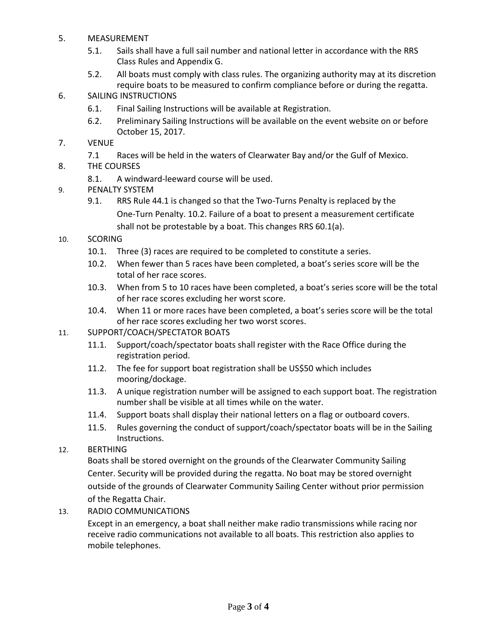- 5. MEASUREMENT
	- 5.1. Sails shall have a full sail number and national letter in accordance with the RRS Class Rules and Appendix G.
	- 5.2. All boats must comply with class rules. The organizing authority may at its discretion require boats to be measured to confirm compliance before or during the regatta.

### 6. SAILING INSTRUCTIONS

- 6.1. Final Sailing Instructions will be available at Registration.
- 6.2. Preliminary Sailing Instructions will be available on the event website on or before October 15, 2017.
- 7. VENUE
	- 7.1 Races will be held in the waters of Clearwater Bay and/or the Gulf of Mexico.
- 8. THE COURSES
	- 8.1. A windward-leeward course will be used.
- 9. PENALTY SYSTEM
	- 9.1. RRS Rule 44.1 is changed so that the Two-Turns Penalty is replaced by the One-Turn Penalty. 10.2. Failure of a boat to present a measurement certificate shall not be protestable by a boat. This changes RRS 60.1(a).
- 10. SCORING
	- 10.1. Three (3) races are required to be completed to constitute a series.
	- 10.2. When fewer than 5 races have been completed, a boat's series score will be the total of her race scores.
	- 10.3. When from 5 to 10 races have been completed, a boat's series score will be the total of her race scores excluding her worst score.
	- 10.4. When 11 or more races have been completed, a boat's series score will be the total of her race scores excluding her two worst scores.
- 11. SUPPORT/COACH/SPECTATOR BOATS
	- 11.1. Support/coach/spectator boats shall register with the Race Office during the registration period.
	- 11.2. The fee for support boat registration shall be US\$50 which includes mooring/dockage.
	- 11.3. A unique registration number will be assigned to each support boat. The registration number shall be visible at all times while on the water.
	- 11.4. Support boats shall display their national letters on a flag or outboard covers.
	- 11.5. Rules governing the conduct of support/coach/spectator boats will be in the Sailing Instructions.
- 12. BERTHING

Boats shall be stored overnight on the grounds of the Clearwater Community Sailing Center. Security will be provided during the regatta. No boat may be stored overnight outside of the grounds of Clearwater Community Sailing Center without prior permission of the Regatta Chair.

13. RADIO COMMUNICATIONS

Except in an emergency, a boat shall neither make radio transmissions while racing nor receive radio communications not available to all boats. This restriction also applies to mobile telephones.